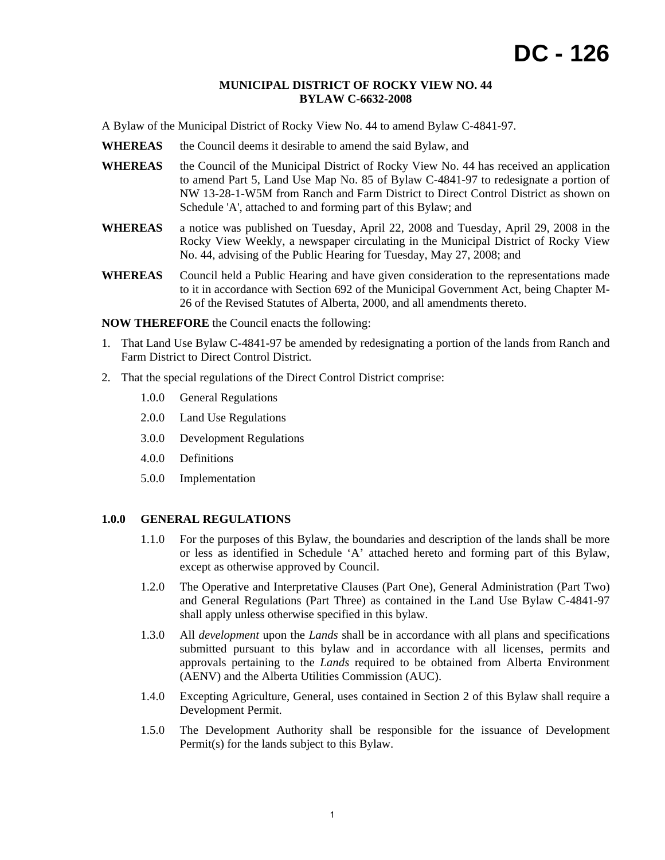### **MUNICIPAL DISTRICT OF ROCKY VIEW NO. 44 BYLAW C-6632-2008**

A Bylaw of the Municipal District of Rocky View No. 44 to amend Bylaw C-4841-97.

- **WHEREAS** the Council deems it desirable to amend the said Bylaw, and
- WHEREAS the Council of the Municipal District of Rocky View No. 44 has received an application to amend Part 5, Land Use Map No. 85 of Bylaw C-4841-97 to redesignate a portion of NW 13-28-1-W5M from Ranch and Farm District to Direct Control District as shown on Schedule 'A', attached to and forming part of this Bylaw; and
- **WHEREAS** a notice was published on Tuesday, April 22, 2008 and Tuesday, April 29, 2008 in the Rocky View Weekly, a newspaper circulating in the Municipal District of Rocky View No. 44, advising of the Public Hearing for Tuesday, May 27, 2008; and
- **WHEREAS** Council held a Public Hearing and have given consideration to the representations made to it in accordance with Section 692 of the Municipal Government Act, being Chapter M-26 of the Revised Statutes of Alberta, 2000, and all amendments thereto.

**NOW THEREFORE** the Council enacts the following:

- 1. That Land Use Bylaw C-4841-97 be amended by redesignating a portion of the lands from Ranch and Farm District to Direct Control District.
- 2. That the special regulations of the Direct Control District comprise:
	- 1.0.0 General Regulations
	- 2.0.0 Land Use Regulations
	- 3.0.0 Development Regulations
	- 4.0.0 Definitions
	- 5.0.0 Implementation

# **1.0.0 GENERAL REGULATIONS**

- 1.1.0 For the purposes of this Bylaw, the boundaries and description of the lands shall be more or less as identified in Schedule 'A' attached hereto and forming part of this Bylaw, except as otherwise approved by Council.
- 1.2.0 The Operative and Interpretative Clauses (Part One), General Administration (Part Two) and General Regulations (Part Three) as contained in the Land Use Bylaw C-4841-97 shall apply unless otherwise specified in this bylaw.
- 1.3.0 All *development* upon the *Lands* shall be in accordance with all plans and specifications submitted pursuant to this bylaw and in accordance with all licenses, permits and approvals pertaining to the *Lands* required to be obtained from Alberta Environment (AENV) and the Alberta Utilities Commission (AUC).
- 1.4.0 Excepting Agriculture, General, uses contained in Section 2 of this Bylaw shall require a Development Permit.
- 1.5.0 The Development Authority shall be responsible for the issuance of Development Permit(s) for the lands subject to this Bylaw.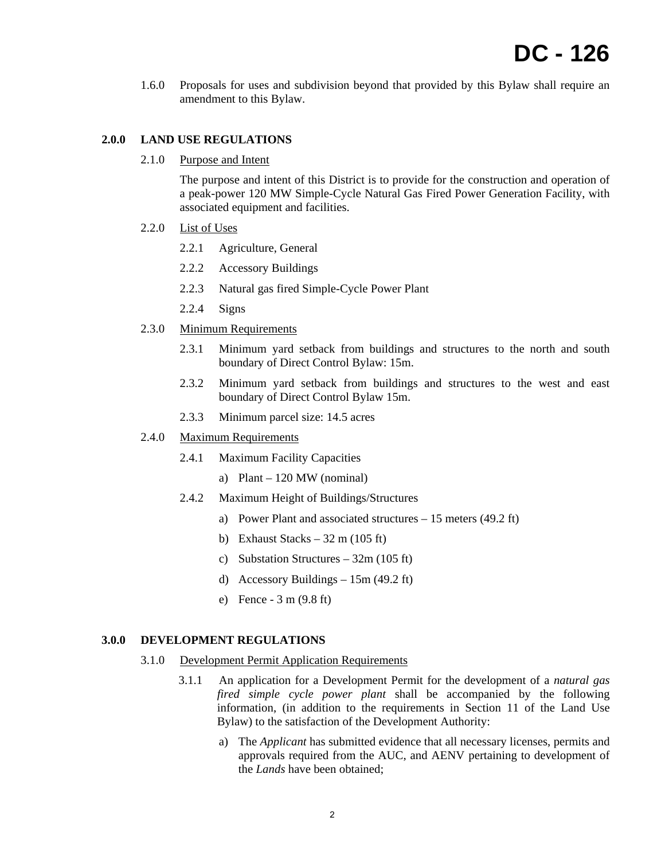1.6.0 Proposals for uses and subdivision beyond that provided by this Bylaw shall require an amendment to this Bylaw.

# **2.0.0 LAND USE REGULATIONS**

2.1.0 Purpose and Intent

The purpose and intent of this District is to provide for the construction and operation of a peak-power 120 MW Simple-Cycle Natural Gas Fired Power Generation Facility, with associated equipment and facilities.

- 2.2.0 List of Uses
	- 2.2.1 Agriculture, General
	- 2.2.2 Accessory Buildings
	- 2.2.3 Natural gas fired Simple-Cycle Power Plant
	- 2.2.4 Signs
- 2.3.0 Minimum Requirements
	- 2.3.1 Minimum yard setback from buildings and structures to the north and south boundary of Direct Control Bylaw: 15m.
	- 2.3.2 Minimum yard setback from buildings and structures to the west and east boundary of Direct Control Bylaw 15m.
	- 2.3.3 Minimum parcel size: 14.5 acres
- 2.4.0 Maximum Requirements
	- 2.4.1 Maximum Facility Capacities
		- a) Plant 120 MW (nominal)
	- 2.4.2 Maximum Height of Buildings/Structures
		- a) Power Plant and associated structures 15 meters (49.2 ft)
		- b) Exhaust Stacks  $32 \text{ m}$  (105 ft)
		- c) Substation Structures 32m (105 ft)
		- d) Accessory Buildings 15m (49.2 ft)
		- e) Fence 3 m (9.8 ft)

### **3.0.0 DEVELOPMENT REGULATIONS**

- 3.1.0 Development Permit Application Requirements
	- 3.1.1 An application for a Development Permit for the development of a *natural gas fired simple cycle power plant* shall be accompanied by the following information, (in addition to the requirements in Section 11 of the Land Use Bylaw) to the satisfaction of the Development Authority:
		- a) The *Applicant* has submitted evidence that all necessary licenses, permits and approvals required from the AUC, and AENV pertaining to development of the *Lands* have been obtained;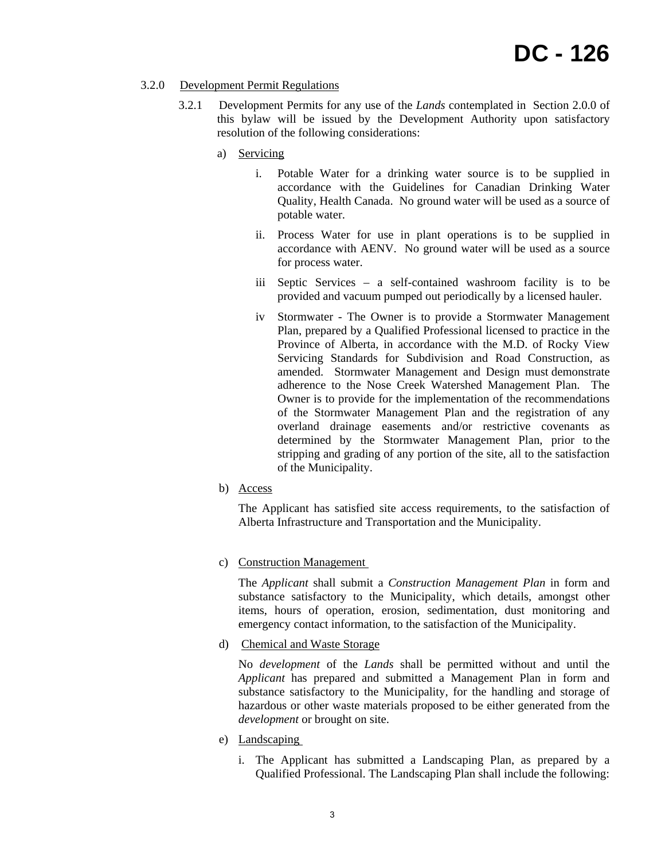# 3.2.0 Development Permit Regulations

- 3.2.1 Development Permits for any use of the *Lands* contemplated in Section 2.0.0 of this bylaw will be issued by the Development Authority upon satisfactory resolution of the following considerations:
	- a) Servicing
		- i. Potable Water for a drinking water source is to be supplied in accordance with the Guidelines for Canadian Drinking Water Quality, Health Canada. No ground water will be used as a source of potable water.
		- ii. Process Water for use in plant operations is to be supplied in accordance with AENV. No ground water will be used as a source for process water.
		- iii Septic Services a self-contained washroom facility is to be provided and vacuum pumped out periodically by a licensed hauler.
		- iv Stormwater The Owner is to provide a Stormwater Management Plan, prepared by a Qualified Professional licensed to practice in the Province of Alberta, in accordance with the M.D. of Rocky View Servicing Standards for Subdivision and Road Construction, as amended. Stormwater Management and Design must demonstrate adherence to the Nose Creek Watershed Management Plan. The Owner is to provide for the implementation of the recommendations of the Stormwater Management Plan and the registration of any overland drainage easements and/or restrictive covenants as determined by the Stormwater Management Plan, prior to the stripping and grading of any portion of the site, all to the satisfaction of the Municipality.
	- b) Access

The Applicant has satisfied site access requirements, to the satisfaction of Alberta Infrastructure and Transportation and the Municipality.

c) Construction Management

The *Applicant* shall submit a *Construction Management Plan* in form and substance satisfactory to the Municipality, which details, amongst other items, hours of operation, erosion, sedimentation, dust monitoring and emergency contact information, to the satisfaction of the Municipality.

d) Chemical and Waste Storage

No *development* of the *Lands* shall be permitted without and until the *Applicant* has prepared and submitted a Management Plan in form and substance satisfactory to the Municipality, for the handling and storage of hazardous or other waste materials proposed to be either generated from the *development* or brought on site.

- e) Landscaping
	- i. The Applicant has submitted a Landscaping Plan, as prepared by a Qualified Professional. The Landscaping Plan shall include the following: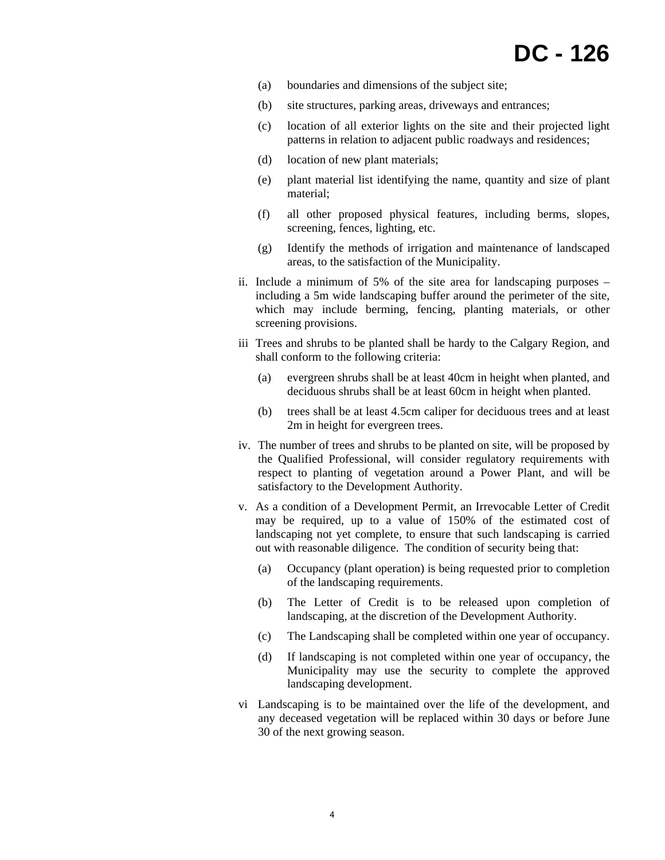- (a) boundaries and dimensions of the subject site;
- (b) site structures, parking areas, driveways and entrances;
- (c) location of all exterior lights on the site and their projected light patterns in relation to adjacent public roadways and residences;
- (d) location of new plant materials;
- (e) plant material list identifying the name, quantity and size of plant material;
- (f) all other proposed physical features, including berms, slopes, screening, fences, lighting, etc.
- (g) Identify the methods of irrigation and maintenance of landscaped areas, to the satisfaction of the Municipality.
- ii. Include a minimum of 5% of the site area for landscaping purposes including a 5m wide landscaping buffer around the perimeter of the site, which may include berming, fencing, planting materials, or other screening provisions.
- iii Trees and shrubs to be planted shall be hardy to the Calgary Region, and shall conform to the following criteria:
	- (a) evergreen shrubs shall be at least 40cm in height when planted, and deciduous shrubs shall be at least 60cm in height when planted.
	- (b) trees shall be at least 4.5cm caliper for deciduous trees and at least 2m in height for evergreen trees.
- iv. The number of trees and shrubs to be planted on site, will be proposed by the Qualified Professional, will consider regulatory requirements with respect to planting of vegetation around a Power Plant, and will be satisfactory to the Development Authority.
- v. As a condition of a Development Permit, an Irrevocable Letter of Credit may be required, up to a value of 150% of the estimated cost of landscaping not yet complete, to ensure that such landscaping is carried out with reasonable diligence. The condition of security being that:
	- (a) Occupancy (plant operation) is being requested prior to completion of the landscaping requirements.
	- (b) The Letter of Credit is to be released upon completion of landscaping, at the discretion of the Development Authority.
	- (c) The Landscaping shall be completed within one year of occupancy.
	- (d) If landscaping is not completed within one year of occupancy, the Municipality may use the security to complete the approved landscaping development.
- vi Landscaping is to be maintained over the life of the development, and any deceased vegetation will be replaced within 30 days or before June 30 of the next growing season.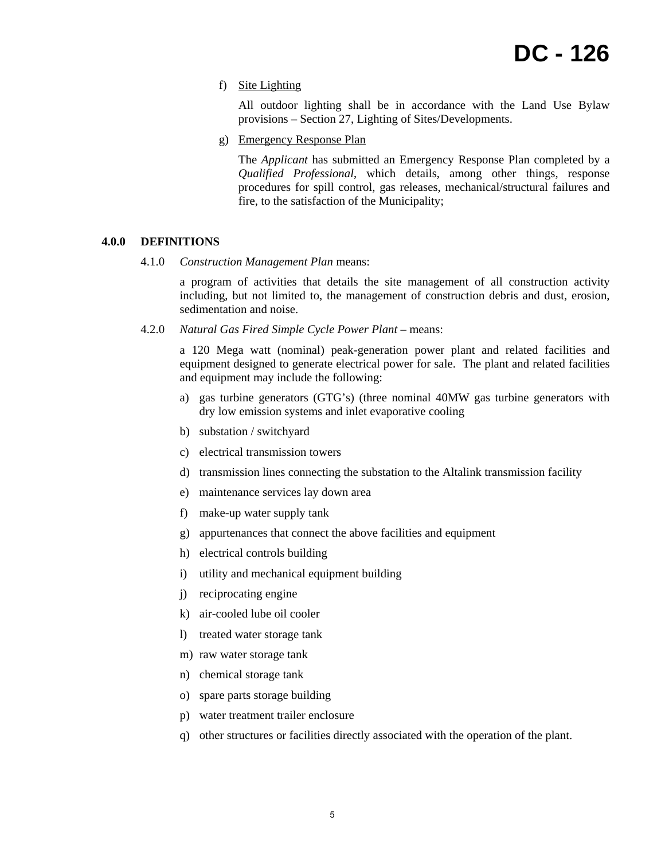f) Site Lighting

All outdoor lighting shall be in accordance with the Land Use Bylaw provisions – Section 27, Lighting of Sites/Developments.

g) Emergency Response Plan

The *Applicant* has submitted an Emergency Response Plan completed by a *Qualified Professional*, which details, among other things, response procedures for spill control, gas releases, mechanical/structural failures and fire, to the satisfaction of the Municipality;

#### **4.0.0 DEFINITIONS**

4.1.0 *Construction Management Plan* means:

a program of activities that details the site management of all construction activity including, but not limited to, the management of construction debris and dust, erosion, sedimentation and noise.

4.2.0 *Natural Gas Fired Simple Cycle Power Plant* – means:

a 120 Mega watt (nominal) peak-generation power plant and related facilities and equipment designed to generate electrical power for sale. The plant and related facilities and equipment may include the following:

- a) gas turbine generators (GTG's) (three nominal 40MW gas turbine generators with dry low emission systems and inlet evaporative cooling
- b) substation / switchyard
- c) electrical transmission towers
- d) transmission lines connecting the substation to the Altalink transmission facility
- e) maintenance services lay down area
- f) make-up water supply tank
- g) appurtenances that connect the above facilities and equipment
- h) electrical controls building
- i) utility and mechanical equipment building
- j) reciprocating engine
- k) air-cooled lube oil cooler
- l) treated water storage tank
- m) raw water storage tank
- n) chemical storage tank
- o) spare parts storage building
- p) water treatment trailer enclosure
- q) other structures or facilities directly associated with the operation of the plant.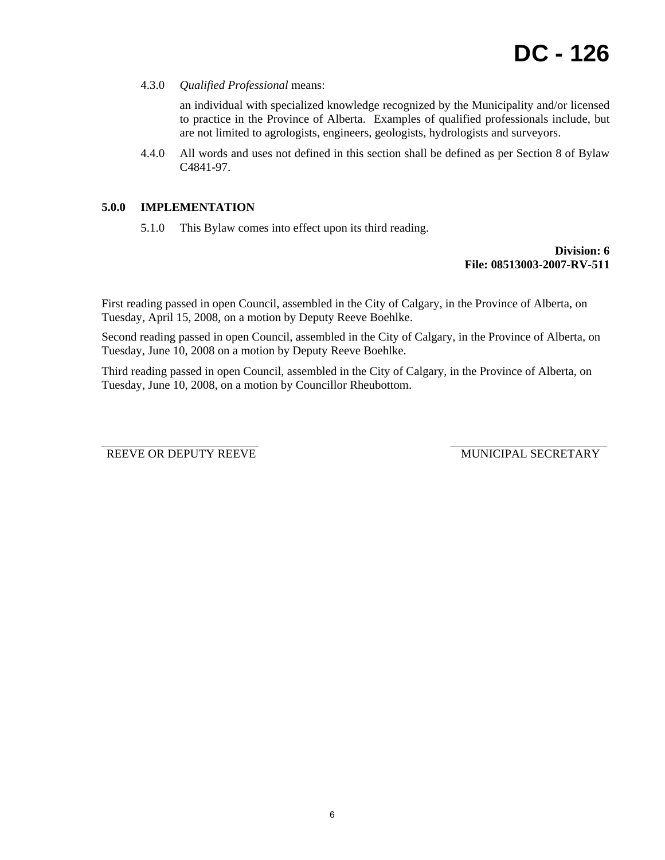4.3.0 *Qualified Professional* means:

an individual with specialized knowledge recognized by the Municipality and/or licensed to practice in the Province of Alberta. Examples of qualified professionals include, but are not limited to agrologists, engineers, geologists, hydrologists and surveyors.

4.4.0 All words and uses not defined in this section shall be defined as per Section 8 of Bylaw C4841-97.

# **5.0.0 IMPLEMENTATION**

5.1.0 This Bylaw comes into effect upon its third reading.

## **Division: 6 File: 08513003-2007-RV-511**

First reading passed in open Council, assembled in the City of Calgary, in the Province of Alberta, on Tuesday, April 15, 2008, on a motion by Deputy Reeve Boehlke.

Second reading passed in open Council, assembled in the City of Calgary, in the Province of Alberta, on Tuesday, June 10, 2008 on a motion by Deputy Reeve Boehlke.

Third reading passed in open Council, assembled in the City of Calgary, in the Province of Alberta, on Tuesday, June 10, 2008, on a motion by Councillor Rheubottom.

REEVE OR DEPUTY REEVE MUNICIPAL SECRETARY